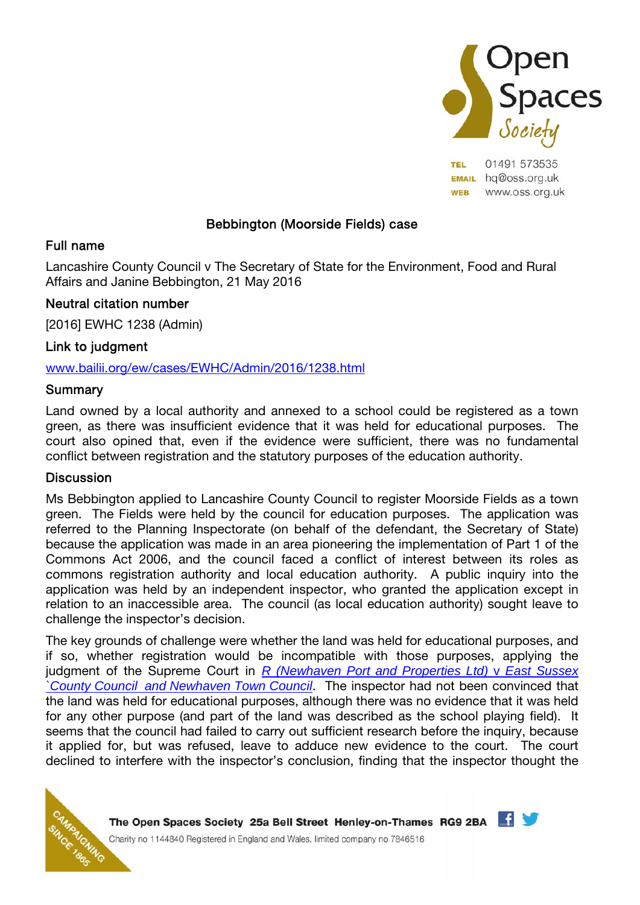

**TEL** 01491 573535 **EMAIL** hq@oss.org.uk **WEB** www.oss.org.uk

# Bebbington (Moorside Fields) case

### Full name

Lancashire County Council v The Secretary of State for the Environment, Food and Rural Affairs and Janine Bebbington, 21 May 2016

# Neutral citation number

[2016] EWHC 1238 (Admin)

### Link to judgment

#### www.bailii.org/ew/cases/EWHC/Admin/2016/1238.html

#### Summary

Land owned by a local authority and annexed to a school could be registered as a town green, as there was insufficient evidence that it was held for educational purposes. The court also opined that, even if the evidence were sufficient, there was no fundamental conflict between registration and the statutory purposes of the education authority.

#### **Discussion**

Ms Bebbington applied to Lancashire County Council to register Moorside Fields as a town green. The Fields were held by the council for education purposes. The application was referred to the Planning Inspectorate (on behalf of the defendant, the Secretary of State) because the application was made in an area pioneering the implementation of Part 1 of the Commons Act 2006, and the council faced a conflict of interest between its roles as commons registration authority and local education authority. A public inquiry into the application was held by an independent inspector, who granted the application except in relation to an inaccessible area. The council (as local education authority) sought leave to challenge the inspector's decision.

The key grounds of challenge were whether the land was held for educational purposes, and if so, whether registration would be incompatible with those purposes, applying the judgment of the Supreme Court in *R (Newhaven Port and Properties Ltd)* v *East Sussex `County Council and Newhaven Town Council*. The inspector had not been convinced that the land was held for educational purposes, although there was no evidence that it was held for any other purpose (and part of the land was described as the school playing field). It seems that the council had failed to carry out sufficient research before the inquiry, because it applied for, but was refused, leave to adduce new evidence to the court. The court declined to interfere with the inspector's conclusion, finding that the inspector thought the

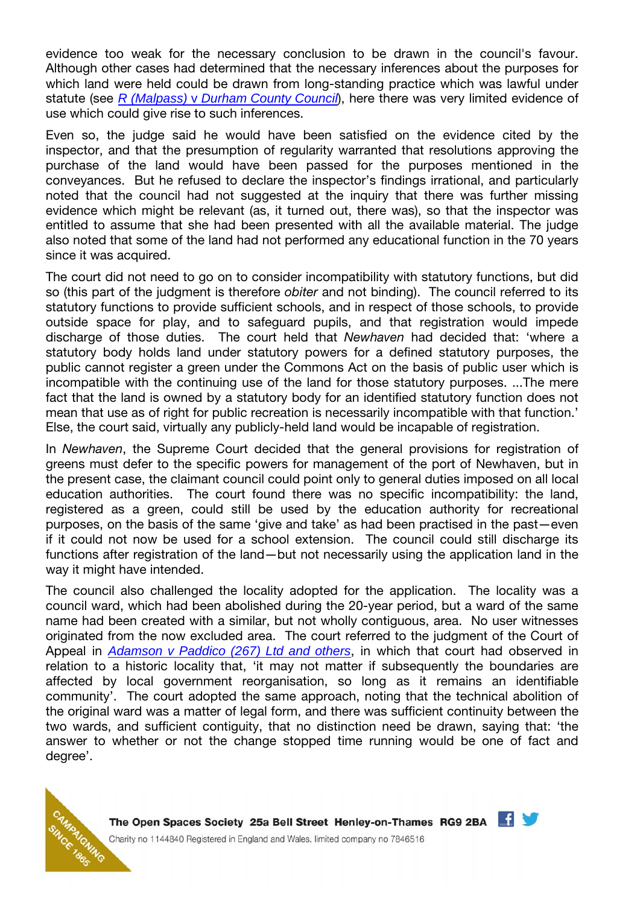evidence too weak for the necessary conclusion to be drawn in the council's favour. Although other cases had determined that the necessary inferences about the purposes for which land were held could be drawn from long-standing practice which was lawful under statute (see *R (Malpass)* v *Durham County Council*), here there was very limited evidence of use which could give rise to such inferences.

Even so, the judge said he would have been satisfied on the evidence cited by the inspector, and that the presumption of regularity warranted that resolutions approving the purchase of the land would have been passed for the purposes mentioned in the conveyances. But he refused to declare the inspector's findings irrational, and particularly noted that the council had not suggested at the inquiry that there was further missing evidence which might be relevant (as, it turned out, there was), so that the inspector was entitled to assume that she had been presented with all the available material. The judge also noted that some of the land had not performed any educational function in the 70 years since it was acquired.

The court did not need to go on to consider incompatibility with statutory functions, but did so (this part of the judgment is therefore *obiter* and not binding). The council referred to its statutory functions to provide sufficient schools, and in respect of those schools, to provide outside space for play, and to safeguard pupils, and that registration would impede discharge of those duties. The court held that Newhaven had decided that: 'where a statutory body holds land under statutory powers for a defined statutory purposes, the public cannot register a green under the Commons Act on the basis of public user which is incompatible with the continuing use of the land for those statutory purposes. ...The mere fact that the land is owned by a statutory body for an identified statutory function does not mean that use as of right for public recreation is necessarily incompatible with that function.' Else, the court said, virtually any publicly-held land would be incapable of registration.

In Newhaven, the Supreme Court decided that the general provisions for registration of greens must defer to the specific powers for management of the port of Newhaven, but in the present case, the claimant council could point only to general duties imposed on all local education authorities. The court found there was no specific incompatibility: the land, registered as a green, could still be used by the education authority for recreational purposes, on the basis of the same 'give and take' as had been practised in the past—even if it could not now be used for a school extension. The council could still discharge its functions after registration of the land—but not necessarily using the application land in the way it might have intended.

The council also challenged the locality adopted for the application. The locality was a council ward, which had been abolished during the 20-year period, but a ward of the same name had been created with a similar, but not wholly contiguous, area. No user witnesses originated from the now excluded area. The court referred to the judgment of the Court of Appeal in *Adamson v Paddico (267) Ltd and others*, in which that court had observed in relation to a historic locality that, 'it may not matter if subsequently the boundaries are affected by local government reorganisation, so long as it remains an identifiable community'. The court adopted the same approach, noting that the technical abolition of the original ward was a matter of legal form, and there was sufficient continuity between the two wards, and sufficient contiguity, that no distinction need be drawn, saying that: 'the answer to whether or not the change stopped time running would be one of fact and degree'.



The Open Spaces Society 25a Bell Street Henley-on-Thames RG9 2BA Charity no 1144840 Registered in England and Wales, limited company no 7846516